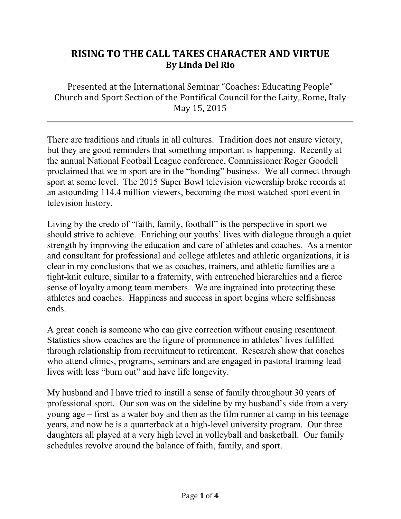## **RISING TO THE CALL TAKES CHARACTER AND VIRTUE By Linda Del Rio**

Presented at the International Seminar "Coaches: Educating People" Church and Sport Section of the Pontifical Council for the Laity, Rome, Italy May 15, 2015

There are traditions and rituals in all cultures. Tradition does not ensure victory, but they are good reminders that something important is happening. Recently at the annual National Football League conference, Commissioner Roger Goodell proclaimed that we in sport are in the "bonding" business. We all connect through sport at some level. The 2015 Super Bowl television viewership broke records at an astounding 114.4 million viewers, becoming the most watched sport event in television history.

Living by the credo of "faith, family, football" is the perspective in sport we should strive to achieve. Enriching our youths' lives with dialogue through a quiet strength by improving the education and care of athletes and coaches. As a mentor and consultant for professional and college athletes and athletic organizations, it is clear in my conclusions that we as coaches, trainers, and athletic families are a tight-knit culture, similar to a fraternity, with entrenched hierarchies and a fierce sense of loyalty among team members. We are ingrained into protecting these athletes and coaches. Happiness and success in sport begins where selfishness ends.

A great coach is someone who can give correction without causing resentment. Statistics show coaches are the figure of prominence in athletes' lives fulfilled through relationship from recruitment to retirement. Research show that coaches who attend clinics, programs, seminars and are engaged in pastoral training lead lives with less "burn out" and have life longevity.

My husband and I have tried to instill a sense of family throughout 30 years of professional sport. Our son was on the sideline by my husband's side from a very young age – first as a water boy and then as the film runner at camp in his teenage years, and now he is a quarterback at a high-level university program. Our three daughters all played at a very high level in volleyball and basketball. Our family schedules revolve around the balance of faith, family, and sport.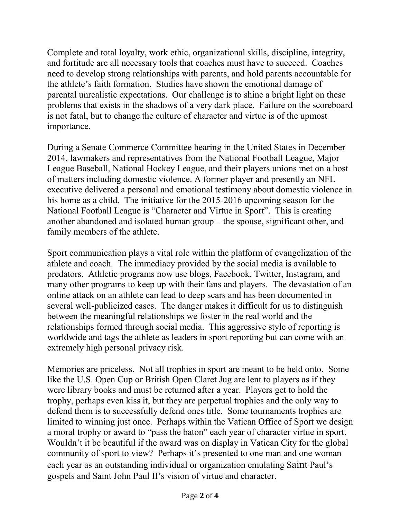Complete and total loyalty, work ethic, organizational skills, discipline, integrity, and fortitude are all necessary tools that coaches must have to succeed. Coaches need to develop strong relationships with parents, and hold parents accountable for the athlete's faith formation. Studies have shown the emotional damage of parental unrealistic expectations. Our challenge is to shine a bright light on these problems that exists in the shadows of a very dark place. Failure on the scoreboard is not fatal, but to change the culture of character and virtue is of the upmost importance.

During a Senate Commerce Committee hearing in the United States in December 2014, lawmakers and representatives from the National Football League, Major League Baseball, National Hockey League, and their players unions met on a host of matters including domestic violence. A former player and presently an NFL executive delivered a personal and emotional testimony about domestic violence in his home as a child. The initiative for the 2015-2016 upcoming season for the National Football League is "Character and Virtue in Sport". This is creating another abandoned and isolated human group – the spouse, significant other, and family members of the athlete.

Sport communication plays a vital role within the platform of evangelization of the athlete and coach. The immediacy provided by the social media is available to predators. Athletic programs now use blogs, Facebook, Twitter, Instagram, and many other programs to keep up with their fans and players. The devastation of an online attack on an athlete can lead to deep scars and has been documented in several well-publicized cases. The danger makes it difficult for us to distinguish between the meaningful relationships we foster in the real world and the relationships formed through social media. This aggressive style of reporting is worldwide and tags the athlete as leaders in sport reporting but can come with an extremely high personal privacy risk.

Memories are priceless. Not all trophies in sport are meant to be held onto. Some like the U.S. Open Cup or British Open Claret Jug are lent to players as if they were library books and must be returned after a year. Players get to hold the trophy, perhaps even kiss it, but they are perpetual trophies and the only way to defend them is to successfully defend ones title. Some tournaments trophies are limited to winning just once. Perhaps within the Vatican Office of Sport we design a moral trophy or award to "pass the baton" each year of character virtue in sport. Wouldn't it be beautiful if the award was on display in Vatican City for the global community of sport to view? Perhaps it's presented to one man and one woman each year as an outstanding individual or organization emulating Saint Paul's gospels and Saint John Paul II's vision of virtue and character.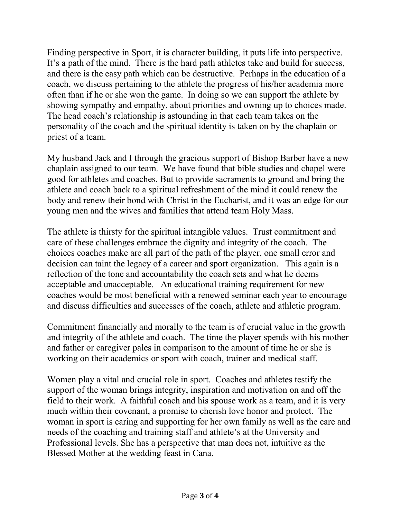Finding perspective in Sport, it is character building, it puts life into perspective. It's a path of the mind. There is the hard path athletes take and build for success, and there is the easy path which can be destructive. Perhaps in the education of a coach, we discuss pertaining to the athlete the progress of his/her academia more often than if he or she won the game. In doing so we can support the athlete by showing sympathy and empathy, about priorities and owning up to choices made. The head coach's relationship is astounding in that each team takes on the personality of the coach and the spiritual identity is taken on by the chaplain or priest of a team.

My husband Jack and I through the gracious support of Bishop Barber have a new chaplain assigned to our team. We have found that bible studies and chapel were good for athletes and coaches. But to provide sacraments to ground and bring the athlete and coach back to a spiritual refreshment of the mind it could renew the body and renew their bond with Christ in the Eucharist, and it was an edge for our young men and the wives and families that attend team Holy Mass.

The athlete is thirsty for the spiritual intangible values. Trust commitment and care of these challenges embrace the dignity and integrity of the coach. The choices coaches make are all part of the path of the player, one small error and decision can taint the legacy of a career and sport organization. This again is a reflection of the tone and accountability the coach sets and what he deems acceptable and unacceptable. An educational training requirement for new coaches would be most beneficial with a renewed seminar each year to encourage and discuss difficulties and successes of the coach, athlete and athletic program.

Commitment financially and morally to the team is of crucial value in the growth and integrity of the athlete and coach. The time the player spends with his mother and father or caregiver pales in comparison to the amount of time he or she is working on their academics or sport with coach, trainer and medical staff.

Women play a vital and crucial role in sport. Coaches and athletes testify the support of the woman brings integrity, inspiration and motivation on and off the field to their work. A faithful coach and his spouse work as a team, and it is very much within their covenant, a promise to cherish love honor and protect. The woman in sport is caring and supporting for her own family as well as the care and needs of the coaching and training staff and athlete's at the University and Professional levels. She has a perspective that man does not, intuitive as the Blessed Mother at the wedding feast in Cana.